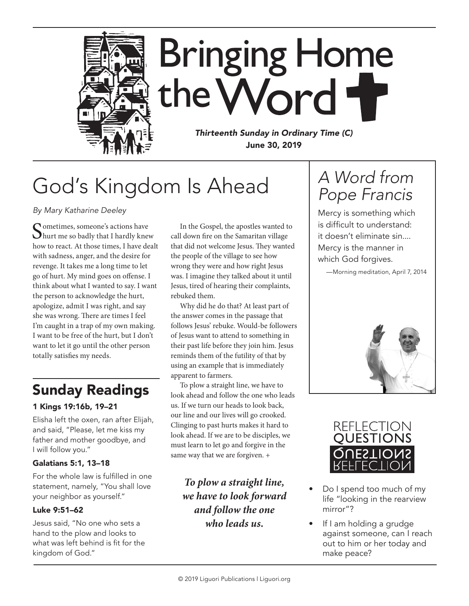

## God's Kingdom Is Ahead

*By Mary Katharine Deeley*

Sometimes, someone's actions have<br>hurt me so badly that I hardly knew how to react. At those times, I have dealt with sadness, anger, and the desire for revenge. It takes me a long time to let go of hurt. My mind goes on offense. I think about what I wanted to say. I want the person to acknowledge the hurt, apologize, admit I was right, and say she was wrong. There are times I feel I'm caught in a trap of my own making. I want to be free of the hurt, but I don't want to let it go until the other person totally satisfies my needs.

### Sunday Readings

#### 1 Kings 19:16b, 19–21

Elisha left the oxen, ran after Elijah, and said, "Please, let me kiss my father and mother goodbye, and I will follow you."

#### Galatians 5:1, 13–18

For the whole law is fulfilled in one statement, namely, "You shall love your neighbor as yourself."

#### Luke 9:51–62

Jesus said, "No one who sets a hand to the plow and looks to what was left behind is fit for the kingdom of God."

In the Gospel, the apostles wanted to call down fire on the Samaritan village that did not welcome Jesus. They wanted the people of the village to see how wrong they were and how right Jesus was. I imagine they talked about it until Jesus, tired of hearing their complaints, rebuked them.

Why did he do that? At least part of the answer comes in the passage that follows Jesus' rebuke. Would-be followers of Jesus want to attend to something in their past life before they join him. Jesus reminds them of the futility of that by using an example that is immediately apparent to farmers.

To plow a straight line, we have to look ahead and follow the one who leads us. If we turn our heads to look back, our line and our lives will go crooked. Clinging to past hurts makes it hard to look ahead. If we are to be disciples, we must learn to let go and forgive in the same way that we are forgiven. +

*To plow a straight line, we have to look forward and follow the one who leads us.*

## *A Word from Pope Francis*

Mercy is something which is difficult to understand: it doesn't eliminate sin.... Mercy is the manner in which God forgives.





- Do I spend too much of my life "looking in the rearview mirror"?
- If I am holding a grudge against someone, can I reach out to him or her today and make peace?